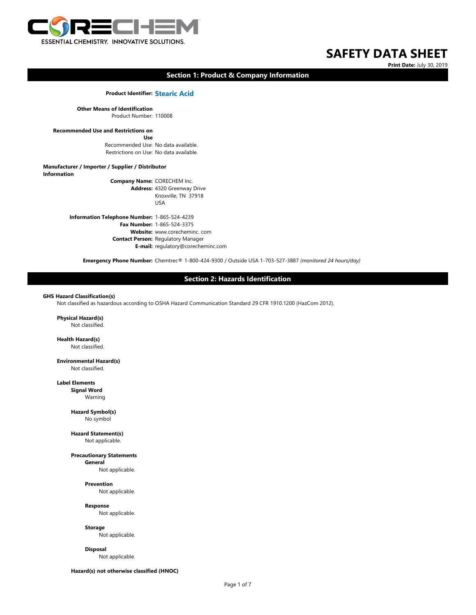

# **Print Date:** July 30, 2019

# **Section 1: Product & Company Information**

**Product Identifier: Stearic Acid**

**Other Means of Identification** Product Number: 110008

# **Recommended Use and Restrictions on**

**Use** Recommended Use: No data available. Restrictions on Use: No data available.

**Manufacturer / Importer / Supplier / Distributor Information Company Name:** CORECHEM Inc. **Address:** 4320 Greenway Drive Knoxville, TN 37918

USA

**Information Telephone Number:** 1-865-524-4239 **Fax Number:** 1-865-524-3375 **Website:** www.corecheminc. com **Contact Person:** Regulatory Manager **E-mail:** regulatory@corecheminc.com

**Emergency Phone Number:** Chemtrec® 1-800-424-9300 / Outside USA 1-703-527-3887 *(monitored 24 hours/day)*

# **Section 2: Hazards Identification**

#### **GHS Hazard Classification(s)**

Not classified as hazardous according to OSHA Hazard Communication Standard 29 CFR 1910.1200 (HazCom 2012).

**Physical Hazard(s)** Not classified.

**Health Hazard(s)** Not classified.

**Environmental Hazard(s)** Not classified.

**Label Elements Signal Word** Warning

**Hazard Symbol(s)**

No symbol

**Hazard Statement(s)** Not applicable.

**Precautionary Statements General**

Not applicable.

**Prevention** Not applicable.

**Response** Not applicable.

**Storage** Not applicable.

**Disposal** Not applicable.

**Hazard(s) not otherwise classified (HNOC)**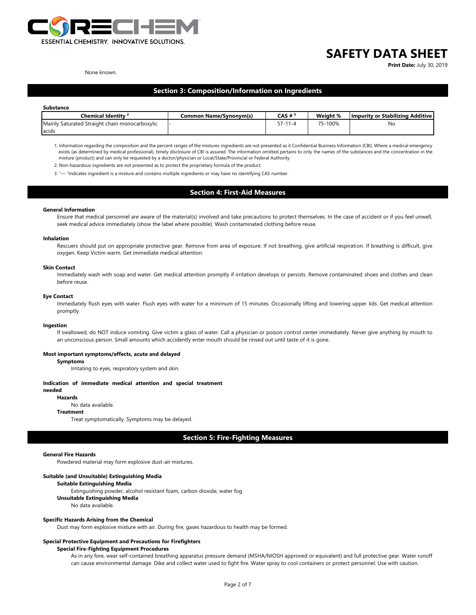

**Print Date:** July 30, 2019

#### None known.

# **Section 3: Composition/Information on Ingredients**

#### **Substance**

| Chemical Identitv <sup>2</sup>                 | Common Name/Svnonvm(s) | CAS $#^3$ | Weight % | <b>Impurity or Stabilizing Additive I</b> |
|------------------------------------------------|------------------------|-----------|----------|-------------------------------------------|
| Mainly Saturated Straight chain monocarboxylic |                        | . . - 4   | 75-100%  | Nc                                        |
| acids                                          |                        |           |          |                                           |

1. Information regarding the composition and the percent ranges of the mixtures ingredients are not presented as it Confidential Business Information (CBI). Where a medical emergency exists (as determined by medical professional), timely disclosure of CBI is assured. The information omitted pertains to only the names of the substances and the concentration in the mixture (product) and can only be requested by a doctor/physician or Local/State/Provincial or Federal Authority.

2. Non‐hazardous ingredients are not presented as to protect the proprietary formula of the product.

3. "— "Indicates ingredient is a mixture and contains multiple ingredients or may have no identifying CAS number.

# **Section 4: First-Aid Measures**

#### **General Information**

Ensure that medical personnel are aware of the material(s) involved and take precautions to protect themselves. In the case of accident or if you feel unwell, seek medical advice immediately (show the label where possible). Wash contaminated clothing before reuse.

#### **Inhalation**

Rescuers should put on appropriate protective gear. Remove from area of exposure. If not breathing, give artificial respiration. If breathing is difficult, give oxygen. Keep Victim warm. Get immediate medical attention.

#### **Skin Contact**

Immediately wash with soap and water. Get medical attention promptly if irritation develops or persists. Remove contaminated shoes and clothes and clean before reuse.

#### **Eye Contact**

Immediately flush eyes with water. Flush eyes with water for a minimum of 15 minutes. Occasionally lifting and lowering upper lids. Get medical attention promptly.

#### **Ingestion**

If swallowed, do NOT induce vomiting. Give victim a glass of water. Call a physician or poison control center immediately. Never give anything by mouth to an unconscious person. Small amounts which accidently enter mouth should be rinsed out until taste of it is gone.

#### **Most important symptoms/effects, acute and delayed**

**Symptoms**

Irritating to eyes, respiratory system and skin.

### **Indication of immediate medical attention and special treatment**

### **needed**

**Hazards** No data available.

# **Treatment**

Treat symptomatically. Symptoms may be delayed.

**Section 5: Fire-Fighting Measures**

#### **General Fire Hazards**

Powdered material may form explosive dust-air mixtures.

#### **Suitable (and Unsuitable) Extinguishing Media**

**Suitable Extinguishing Media**

Extinguishing powder, alcohol resistant foam, carbon dioxide, water fog

**Unsuitable Extinguishing Media**

No data available.

#### **Specific Hazards Arising from the Chemical**

Dust may form explosive mixture with air. During fire, gases hazardous to health may be formed.

# **Special Protective Equipment and Precautions for Firefighters**

# **Special Fire-Fighting Equipment Procedures**

As in any fore, wear self-contained breathing apparatus pressure demand (MSHA/NIOSH approved or equivalent) and full protective gear. Water runoff can cause environmental damage. Dike and collect water used to fight fire. Water spray to cool containers or protect personnel. Use with caution.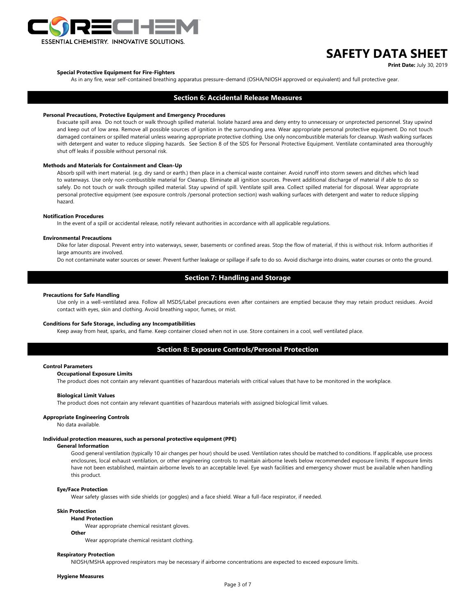

**Print Date:** July 30, 2019

#### **Special Protective Equipment for Fire-Fighters**

As in any fire, wear self-contained breathing apparatus pressure-demand (OSHA/NIOSH approved or equivalent) and full protective gear.

# **Section 6: Accidental Release Measures**

# **Personal Precautions, Protective Equipment and Emergency Procedures**

Evacuate spill area. Do not touch or walk through spilled material. Isolate hazard area and deny entry to unnecessary or unprotected personnel. Stay upwind and keep out of low area. Remove all possible sources of ignition in the surrounding area. Wear appropriate personal protective equipment. Do not touch damaged containers or spilled material unless wearing appropriate protective clothing. Use only noncombustible materials for cleanup. Wash walking surfaces with detergent and water to reduce slipping hazards. See Section 8 of the SDS for Personal Protective Equipment. Ventilate contaminated area thoroughly shut off leaks if possible without personal risk.

### **Methods and Materials for Containment and Clean-Up**

Absorb spill with inert material. (e.g. dry sand or earth.) then place in a chemical waste container. Avoid runoff into storm sewers and ditches which lead to waterways. Use only non-combustible material for Cleanup. Eliminate all ignition sources. Prevent additional discharge of material if able to do so safely. Do not touch or walk through spilled material. Stay upwind of spill. Ventilate spill area. Collect spilled material for disposal. Wear appropriate personal protective equipment (see exposure controls /personal protection section) wash walking surfaces with detergent and water to reduce slipping hazard.

#### **Notification Procedures**

In the event of a spill or accidental release, notify relevant authorities in accordance with all applicable regulations.

#### **Environmental Precautions**

Dike for later disposal. Prevent entry into waterways, sewer, basements or confined areas. Stop the flow of material, if this is without risk. Inform authorities if large amounts are involved.

Do not contaminate water sources or sewer. Prevent further leakage or spillage if safe to do so. Avoid discharge into drains, water courses or onto the ground.

# **Section 7: Handling and Storage**

#### **Precautions for Safe Handling**

Use only in a well-ventilated area. Follow all MSDS/Label precautions even after containers are emptied because they may retain product residues. Avoid contact with eyes, skin and clothing. Avoid breathing vapor, fumes, or mist.

#### **Conditions for Safe Storage, including any Incompatibilities**

Keep away from heat, sparks, and flame. Keep container closed when not in use. Store containers in a cool, well ventilated place.

# **Section 8: Exposure Controls/Personal Protection**

#### **Control Parameters**

#### **Occupational Exposure Limits**

The product does not contain any relevant quantities of hazardous materials with critical values that have to be monitored in the workplace.

#### **Biological Limit Values**

The product does not contain any relevant quantities of hazardous materials with assigned biological limit values.

#### **Appropriate Engineering Controls**

No data available.

#### **Individual protection measures, such as personal protective equipment (PPE)**

#### **General Information**

Good general ventilation (typically 10 air changes per hour) should be used. Ventilation rates should be matched to conditions. If applicable, use process enclosures, local exhaust ventilation, or other engineering controls to maintain airborne levels below recommended exposure limits. If exposure limits have not been established, maintain airborne levels to an acceptable level. Eye wash facilities and emergency shower must be available when handling this product.

#### **Eye/Face Protection**

Wear safety glasses with side shields (or goggles) and a face shield. Wear a full-face respirator, if needed.

# **Skin Protection**

#### **Hand Protection**

Wear appropriate chemical resistant gloves.

# **Other**

Wear appropriate chemical resistant clothing.

#### **Respiratory Protection**

NIOSH/MSHA approved respirators may be necessary if airborne concentrations are expected to exceed exposure limits.

#### **Hygiene Measures**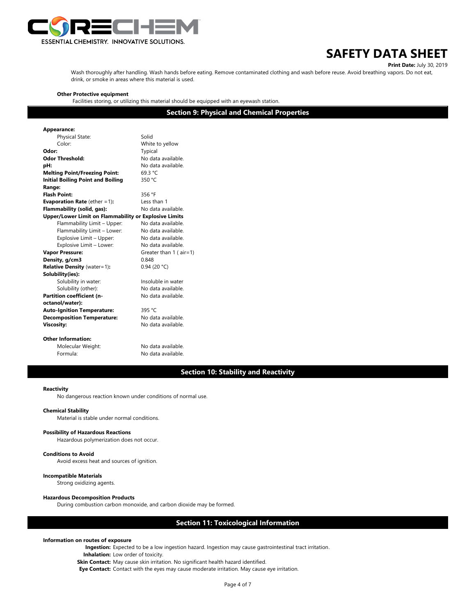

**Print Date:** July 30, 2019 Wash thoroughly after handling. Wash hands before eating. Remove contaminated clothing and wash before reuse. Avoid breathing vapors. Do not eat, drink, or smoke in areas where this material is used.

#### **Other Protective equipment**

Facilities storing, or utilizing this material should be equipped with an eyewash station.

**Section 9: Physical and Chemical Properties**

| Appearance:                                                  |                              |  |  |  |
|--------------------------------------------------------------|------------------------------|--|--|--|
| Physical State:                                              | Solid                        |  |  |  |
| Color:                                                       | White to yellow              |  |  |  |
| Odor:                                                        | Typical                      |  |  |  |
| Odor Threshold:                                              | No data available            |  |  |  |
| pH:                                                          | No data available.           |  |  |  |
| <b>Melting Point/Freezing Point:</b>                         | 69.3 °C                      |  |  |  |
| <b>Initial Boiling Point and Boiling</b>                     | 350 $°C$                     |  |  |  |
| Range:                                                       |                              |  |  |  |
| <b>Flash Point:</b>                                          | 356 °F                       |  |  |  |
| <b>Evaporation Rate</b> (ether $=1$ ):                       | Less than 1                  |  |  |  |
| Flammability (solid, gas):                                   | No data available            |  |  |  |
| <b>Upper/Lower Limit on Flammability or Explosive Limits</b> |                              |  |  |  |
| Flammability Limit - Upper:                                  | No data available.           |  |  |  |
| Flammability Limit - Lower:                                  | No data available            |  |  |  |
| Explosive Limit - Upper:                                     | No data available            |  |  |  |
| Explosive Limit - Lower:                                     | No data available.           |  |  |  |
| <b>Vapor Pressure:</b>                                       | Greater than $1$ ( $air=1$ ) |  |  |  |
| Density, g/cm3                                               | 0.848                        |  |  |  |
| <b>Relative Density (water=1):</b>                           | 0.94(20 °C)                  |  |  |  |
| Solubility(ies):                                             |                              |  |  |  |
| Solubility in water:                                         | Insoluble in water           |  |  |  |
| Solubility (other):                                          | No data available            |  |  |  |
| Partition coefficient (n-                                    | No data available.           |  |  |  |
| octanol/water):                                              |                              |  |  |  |
| <b>Auto-Ignition Temperature:</b>                            | 395 $°C$                     |  |  |  |
| <b>Decomposition Temperature:</b>                            | No data available.           |  |  |  |
| <b>Viscosity:</b>                                            | No data available.           |  |  |  |
|                                                              |                              |  |  |  |
| Other Information:                                           |                              |  |  |  |
| Molecular Weight:                                            | No data available.           |  |  |  |

Formula: No data available.

# **Section 10: Stability and Reactivity**

#### **Reactivity**

No dangerous reaction known under conditions of normal use.

#### **Chemical Stability**

Material is stable under normal conditions.

# **Possibility of Hazardous Reactions**

Hazardous polymerization does not occur.

# **Conditions to Avoid**

Avoid excess heat and sources of ignition.

#### **Incompatible Materials**

Strong oxidizing agents.

#### **Hazardous Decomposition Products**

During combustion carbon monoxide, and carbon dioxide may be formed.

# **Section 11: Toxicological Information**

#### **Information on routes of exposure**

**Ingestion:** Expected to be a low ingestion hazard. Ingestion may cause gastrointestinal tract irritation.

**Inhalation:** Low order of toxicity.

**Skin Contact:** May cause skin irritation. No significant health hazard identified.

**Eye Contact:** Contact with the eyes may cause moderate irritation. May cause eye irritation.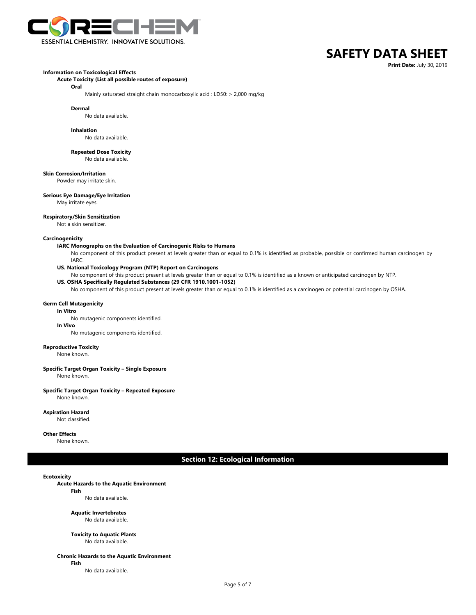

**Print Date:** July 30, 2019

# **Information on Toxicological Effects**

#### **Acute Toxicity (List all possible routes of exposure)**

**Oral**

Mainly saturated straight chain monocarboxylic acid : LD50: > 2,000 mg/kg

**Dermal**

No data available.

#### **Inhalation**

No data available.

**Repeated Dose Toxicity**

No data available.

#### **Skin Corrosion/Irritation**

Powder may irritate skin.

# **Serious Eye Damage/Eye Irritation**

May irritate eyes.

#### **Respiratory/Skin Sensitization**

Not a skin sensitizer.

### **Carcinogenicity**

#### **IARC Monographs on the Evaluation of Carcinogenic Risks to Humans**

- No component of this product present at levels greater than or equal to 0.1% is identified as probable, possible or confirmed human carcinogen by IARC.
	-

# **US. National Toxicology Program (NTP) Report on Carcinogens**

No component of this product present at levels greater than or equal to 0.1% is identified as a known or anticipated carcinogen by NTP.

### **US. OSHA Specifically Regulated Substances (29 CFR 1910.1001-1052)**

No component of this product present at levels greater than or equal to 0.1% is identified as a carcinogen or potential carcinogen by OSHA.

### **Germ Cell Mutagenicity**

**In Vitro**

# No mutagenic components identified.

**In Vivo**

No mutagenic components identified.

#### **Reproductive Toxicity**

None known.

# **Specific Target Organ Toxicity – Single Exposure**

None known.

#### **Specific Target Organ Toxicity – Repeated Exposure**

None known.

#### **Aspiration Hazard**

Not classified.

#### **Other Effects**

None known.

# **Section 12: Ecological Information**

#### **Ecotoxicity**

### **Acute Hazards to the Aquatic Environment**

**Fish**

No data available.

#### **Aquatic Invertebrates** No data available.

# **Toxicity to Aquatic Plants**

No data available.

# **Chronic Hazards to the Aquatic Environment**

**Fish**

No data available.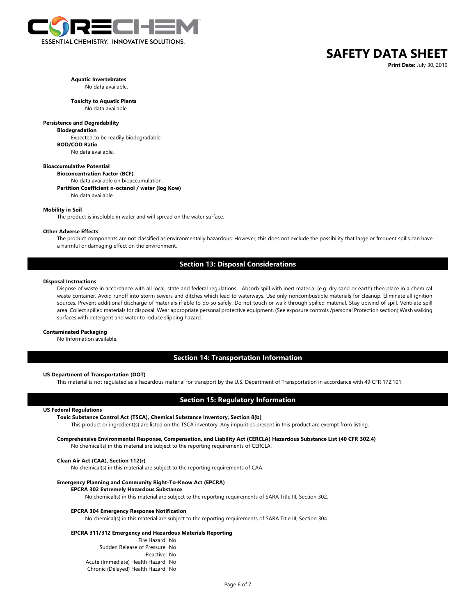

**Print Date:** July 30, 2019

# **Aquatic Invertebrates**

# No data available.

**Toxicity to Aquatic Plants** No data available.

# **Persistence and Degradability**

**Biodegradation** Expected to be readily biodegradable. **BOD/COD Ratio**

No data available.

# **Bioaccumulative Potential**

**Bioconcentration Factor (BCF)**

No data available on bioaccumulation. **Partition Coefficient n-octanol / water (log Kow)** No data available.

# **Mobility in Soil**

The product is insoluble in water and will spread on the water surface.

#### **Other Adverse Effects**

The product components are not classified as environmentally hazardous. However, this does not exclude the possibility that large or frequent spills can have a harmful or damaging effect on the environment.

# **Section 13: Disposal Considerations**

### **Disposal Instructions**

Dispose of waste in accordance with all local, state and federal regulations. Absorb spill with inert material (e.g. dry sand or earth) then place in a chemical waste container. Avoid runoff into storm sewers and ditches which lead to waterways. Use only noncombustible materials for cleanup. Eliminate all ignition sources. Prevent additional discharge of materials if able to do so safely. Do not touch or walk through spilled material. Stay upwind of spill. Ventilate spill area. Collect spilled materials for disposal. Wear appropriate personal protective equipment. (See exposure controls /personal Protection section) Wash walking surfaces with detergent and water to reduce slipping hazard.

#### **Contaminated Packaging**

No Information available.

# **Section 14: Transportation Information**

#### **US Department of Transportation (DOT)**

This material is not regulated as a hazardous material for transport by the U.S. Department of Transportation in accordance with 49 CFR 172.101.

# **Section 15: Regulatory Information**

# **US Federal Regulations**

#### **Toxic Substance Control Act (TSCA), Chemical Substance Inventory, Section 8(b)**

This product or ingredient(s) are listed on the TSCA inventory. Any impurities present in this product are exempt from listing.

**Comprehensive Environmental Response, Compensation, and Liability Act (CERCLA) Hazardous Substance List (40 CFR 302.4)** No chemical(s) in this material are subject to the reporting requirements of CERCLA.

#### **Clean Air Act (CAA), Section 112(r)**

No chemical(s) in this material are subject to the reporting requirements of CAA.

#### **Emergency Planning and Community Right-To-Know Act (EPCRA)**

#### **EPCRA 302 Extremely Hazardous Substance**

No chemical(s) in this material are subject to the reporting requirements of SARA Title III, Section 302.

#### **EPCRA 304 Emergency Response Notification**

No chemical(s) in this material are subject to the reporting requirements of SARA Title III, Section 304.

# **EPCRA 311/312 Emergency and Hazardous Materials Reporting**

Fire Hazard: No Sudden Release of Pressure: No Reactive: No Acute (Immediate) Health Hazard: No Chronic (Delayed) Health Hazard: No